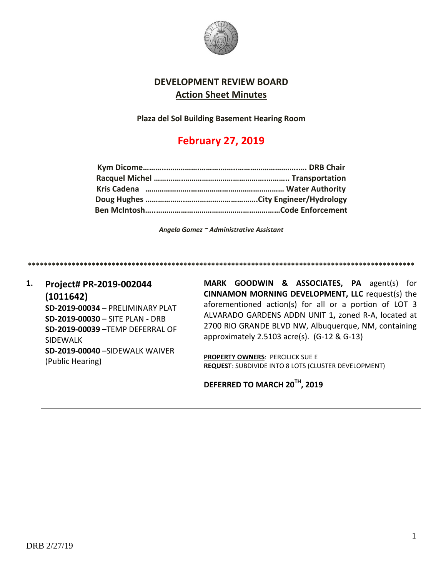

## **DEVELOPMENT REVIEW BOARD Action Sheet Minutes**

**Plaza del Sol Building Basement Hearing Room**

# **February 27, 2019**

*Angela Gomez ~ Administrative Assistant*

**\*\*\*\*\*\*\*\*\*\*\*\*\*\*\*\*\*\*\*\*\*\*\*\*\*\*\*\*\*\*\*\*\*\*\*\*\*\*\*\*\*\*\*\*\*\*\*\*\*\*\*\*\*\*\*\*\*\*\*\*\*\*\*\*\*\*\*\*\*\*\*\*\*\*\*\*\*\*\*\*\*\*\*\*\*\*\*\*\*\*\*\*\*\*\*\*\***

**1. Project# PR-2019-002044 (1011642) SD-2019-00034** – PRELIMINARY PLAT **SD-2019-00030** – SITE PLAN - DRB **SD-2019-00039** –TEMP DEFERRAL OF SIDEWALK **SD-2019-00040** –SIDEWALK WAIVER (Public Hearing)

**MARK GOODWIN & ASSOCIATES, PA** agent(s) for **CINNAMON MORNING DEVELOPMENT, LLC** request(s) the aforementioned action(s) for all or a portion of LOT 3 ALVARADO GARDENS ADDN UNIT 1**,** zoned R-A, located at 2700 RIO GRANDE BLVD NW, Albuquerque, NM, containing approximately 2.5103 acre(s). (G-12 & G-13)

**PROPERTY OWNERS**: PERCILICK SUE E **REQUEST**: SUBDIVIDE INTO 8 LOTS (CLUSTER DEVELOPMENT)

**DEFERRED TO MARCH 20TH, 2019**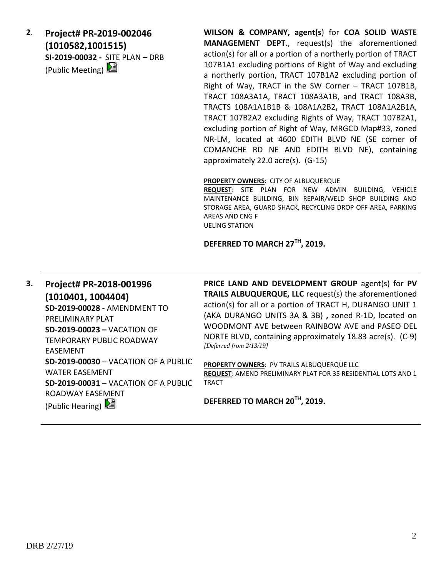**2**. **Project# PR-2019-002046 (1010582,1001515) SI-2019-00032 -** SITE PLAN – DRB (Public Meeting)

**WILSON & COMPANY, agent(s**) for **COA SOLID WASTE MANAGEMENT DEPT**., request(s) the aforementioned action(s) for all or a portion of a northerly portion of TRACT 107B1A1 excluding portions of Right of Way and excluding a northerly portion, TRACT 107B1A2 excluding portion of Right of Way, TRACT in the SW Corner – TRACT 107B1B, TRACT 108A3A1A, TRACT 108A3A1B, and TRACT 108A3B, TRACTS 108A1A1B1B & 108A1A2B2**,** TRACT 108A1A2B1A, TRACT 107B2A2 excluding Rights of Way, TRACT 107B2A1, excluding portion of Right of Way, MRGCD Map#33, zoned NR-LM, located at 4600 EDITH BLVD NE (SE corner of COMANCHE RD NE AND EDITH BLVD NE), containing approximately 22.0 acre(s). (G-15)

#### **PROPERTY OWNERS**: CITY OF ALBUQUERQUE

**REQUEST**: SITE PLAN FOR NEW ADMIN BUILDING, VEHICLE MAINTENANCE BUILDING, BIN REPAIR/WELD SHOP BUILDING AND STORAGE AREA, GUARD SHACK, RECYCLING DROP OFF AREA, PARKING AREAS AND CNG F UELING STATION

### **DEFERRED TO MARCH 27TH, 2019.**

**3. Project# PR-2018-001996 (1010401, 1004404) SD-2019-00028 -** AMENDMENT TO PRELIMINARY PLAT **SD-2019-00023 –** VACATION OF TEMPORARY PUBLIC ROADWAY EASEMENT **SD-2019-00030** – VACATION OF A PUBLIC WATER EASEMENT **SD-2019-00031** – VACATION OF A PUBLIC ROADWAY EASEMENT (Public Hearing)

**PRICE LAND AND DEVELOPMENT GROUP** agent(s) for **PV TRAILS ALBUQUERQUE, LLC** request(s) the aforementioned action(s) for all or a portion of TRACT H, DURANGO UNIT 1 (AKA DURANGO UNITS 3A & 3B) **,** zoned R-1D, located on WOODMONT AVE between RAINBOW AVE and PASEO DEL NORTE BLVD, containing approximately 18.83 acre(s). (C-9) *[Deferred from 2/13/19]*

**PROPERTY OWNERS**: PV TRAILS ALBUQUERQUE LLC **REQUEST**: AMEND PRELIMINARY PLAT FOR 35 RESIDENTIAL LOTS AND 1 TRACT

**DEFERRED TO MARCH 20TH, 2019.**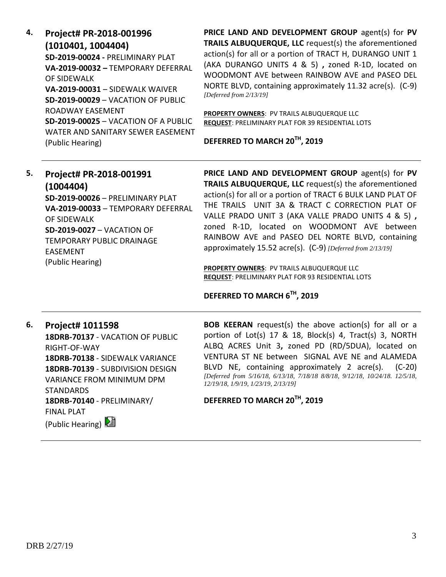| 4. | Project# PR-2018-001996                     |
|----|---------------------------------------------|
|    | (1010401, 1004404)                          |
|    | SD-2019-00024 - PRELIMINARY PLAT            |
|    | VA-2019-00032 - TEMPORARY DEFERRAL          |
|    | OF SIDFWALK                                 |
|    | VA-2019-00031 - SIDEWALK WAIVER             |
|    | <b>SD-2019-00029 - VACATION OF PUBLIC</b>   |
|    | ROADWAY FASEMENT                            |
|    | <b>SD-2019-00025 - VACATION OF A PUBLIC</b> |
|    | WATER AND SANITARY SEWER EASEMENT           |
|    | (Public Hearing)                            |

**PRICE LAND AND DEVELOPMENT GROUP** agent(s) for **PV TRAILS ALBUQUERQUE, LLC** request(s) the aforementioned action(s) for all or a portion of TRACT H, DURANGO UNIT 1 (AKA DURANGO UNITS 4 & 5) **,** zoned R-1D, located on WOODMONT AVE between RAINBOW AVE and PASEO DEL NORTE BLVD, containing approximately 11.32 acre(s). (C-9) *[Deferred from 2/13/19]*

**PROPERTY OWNERS**: PV TRAILS ALBUQUERQUE LLC **REQUEST**: PRELIMINARY PLAT FOR 39 RESIDENTIAL LOTS

**DEFERRED TO MARCH 20TH, 2019**

| 5. | Project# PR-2018-001991                                                              | PRICE LAND AND DEVELOPMENT GROUP agent(s) for PV                                                                                                     |
|----|--------------------------------------------------------------------------------------|------------------------------------------------------------------------------------------------------------------------------------------------------|
|    | (1004404)                                                                            | TRAILS ALBUQUERQUE, LLC request(s) the aforementioned                                                                                                |
|    | SD-2019-00026 - PRELIMINARY PLAT                                                     | action(s) for all or a portion of TRACT 6 BULK LAND PLAT OF                                                                                          |
|    | VA-2019-00033 - TEMPORARY DEFERRAL                                                   | THE TRAILS UNIT 3A & TRACT C CORRECTION PLAT OF                                                                                                      |
|    | OF SIDEWALK<br><b>SD-2019-0027 - VACATION OF</b><br><b>TEMPORARY PUBLIC DRAINAGE</b> | VALLE PRADO UNIT 3 (AKA VALLE PRADO UNITS 4 & 5),<br>zoned R-1D, located on WOODMONT AVE between<br>RAINBOW AVE and PASEO DEL NORTE BLVD, containing |
|    | <b>EASEMENT</b>                                                                      | approximately 15.52 acre(s). (C-9) [Deferred from 2/13/19]                                                                                           |
|    | (Public Hearing)                                                                     | <b>PROPERTY OWNERS: PV TRAILS ALBUQUERQUE LLC</b><br><b>REQUEST: PRELIMINARY PLAT FOR 93 RESIDENTIAL LOTS</b>                                        |

# **DEFERRED TO MARCH 6TH, 2019**

### **6. Project# 1011598**

**18DRB-70137** - VACATION OF PUBLIC RIGHT-OF-WAY **18DRB-70138** - SIDEWALK VARIANCE **18DRB-70139** - SUBDIVISION DESIGN VARIANCE FROM MINIMUM DPM **STANDARDS 18DRB-70140** - PRELIMINARY/ FINAL PLAT (Public Hearing)

**BOB KEERAN** request(s) the above action(s) for all or a portion of Lot(s) 17 & 18, Block(s) 4, Tract(s) 3, NORTH ALBQ ACRES Unit 3**,** zoned PD (RD/5DUA), located on VENTURA ST NE between SIGNAL AVE NE and ALAMEDA BLVD NE, containing approximately 2 acre(s). (C-20) *[Deferred from 5/16/18, 6/13/18, 7/18/18 8/8/18, 9/12/18, 10/24/18. 12/5/18, 12/19/18, 1/9/19, 1/23/19, 2/13/19]*

**DEFERRED TO MARCH 20TH, 2019**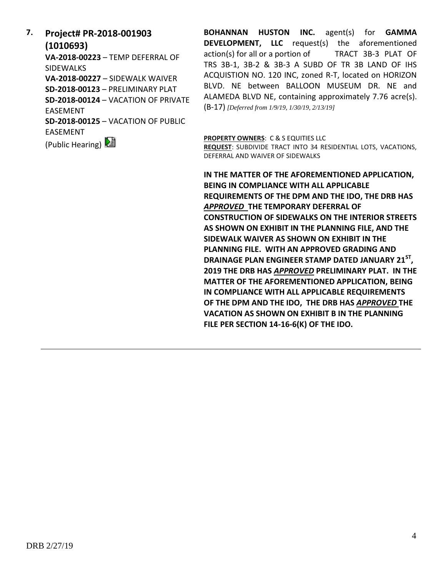**7. Project# PR-2018-001903 (1010693)**

**VA-2018-00223** – TEMP DEFERRAL OF SIDEWALKS **VA-2018-00227** – SIDEWALK WAIVER **SD-2018-00123** – PRELIMINARY PLAT **SD-2018-00124** – VACATION OF PRIVATE EASEMENT **SD-2018-00125** – VACATION OF PUBLIC EASEMENT

(Public Hearing)

**BOHANNAN HUSTON INC.** agent(s) for **GAMMA DEVELOPMENT, LLC** request(s) the aforementioned action(s) for all or a portion of TRACT 3B-3 PLAT OF TRS 3B-1, 3B-2 & 3B-3 A SUBD OF TR 3B LAND OF IHS ACQUISTION NO. 120 INC, zoned R-T, located on HORIZON BLVD. NE between BALLOON MUSEUM DR. NE and ALAMEDA BLVD NE, containing approximately 7.76 acre(s). (B-17) *[Deferred from 1/9/19, 1/30/19, 2/13/19]*

**PROPERTY OWNERS**: C & S EQUITIES LLC

**REQUEST**: SUBDIVIDE TRACT INTO 34 RESIDENTIAL LOTS, VACATIONS, DEFERRAL AND WAIVER OF SIDEWALKS

**IN THE MATTER OF THE AFOREMENTIONED APPLICATION, BEING IN COMPLIANCE WITH ALL APPLICABLE REQUIREMENTS OF THE DPM AND THE IDO, THE DRB HAS**  *APPROVED* **THE TEMPORARY DEFERRAL OF CONSTRUCTION OF SIDEWALKS ON THE INTERIOR STREETS AS SHOWN ON EXHIBIT IN THE PLANNING FILE, AND THE SIDEWALK WAIVER AS SHOWN ON EXHIBIT IN THE PLANNING FILE. WITH AN APPROVED GRADING AND DRAINAGE PLAN ENGINEER STAMP DATED JANUARY 21ST , 2019 THE DRB HAS** *APPROVED* **PRELIMINARY PLAT. IN THE MATTER OF THE AFOREMENTIONED APPLICATION, BEING IN COMPLIANCE WITH ALL APPLICABLE REQUIREMENTS OF THE DPM AND THE IDO, THE DRB HAS** *APPROVED* **THE VACATION AS SHOWN ON EXHIBIT B IN THE PLANNING FILE PER SECTION 14-16-6(K) OF THE IDO.**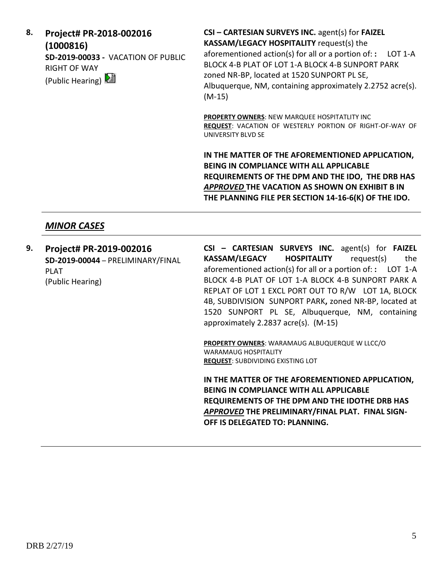**8. Project# PR-2018-002016 (1000816) SD-2019-00033 -** VACATION OF PUBLIC RIGHT OF WAY (Public Hearing)

**CSI – CARTESIAN SURVEYS INC.** agent(s) for **FAIZEL KASSAM/LEGACY HOSPITALITY** request(s) the aforementioned action(s) for all or a portion of: **:** LOT 1-A BLOCK 4-B PLAT OF LOT 1-A BLOCK 4-B SUNPORT PARK zoned NR-BP, located at 1520 SUNPORT PL SE, Albuquerque, NM, containing approximately 2.2752 acre(s). (M-15)

**PROPERTY OWNERS**: NEW MARQUEE HOSPITATLITY INC **REQUEST**: VACATION OF WESTERLY PORTION OF RIGHT-OF-WAY OF UNIVERSITY BLVD SE

**IN THE MATTER OF THE AFOREMENTIONED APPLICATION, BEING IN COMPLIANCE WITH ALL APPLICABLE REQUIREMENTS OF THE DPM AND THE IDO, THE DRB HAS**  *APPROVED* **THE VACATION AS SHOWN ON EXHIBIT B IN THE PLANNING FILE PER SECTION 14-16-6(K) OF THE IDO.**

## *MINOR CASES*

**9. Project# PR-2019-002016 SD-2019-00044** – PRELIMINARY/FINAL PLAT (Public Hearing)

**CSI – CARTESIAN SURVEYS INC.** agent(s) for **FAIZEL KASSAM/LEGACY HOSPITALITY** request(s) the aforementioned action(s) for all or a portion of: **:** LOT 1-A BLOCK 4-B PLAT OF LOT 1-A BLOCK 4-B SUNPORT PARK A REPLAT OF LOT 1 EXCL PORT OUT TO R/W LOT 1A, BLOCK 4B, SUBDIVISION SUNPORT PARK**,** zoned NR-BP, located at 1520 SUNPORT PL SE, Albuquerque, NM, containing approximately 2.2837 acre(s). (M-15)

**PROPERTY OWNERS**: WARAMAUG ALBUQUERQUE W LLCC/O WARAMAUG HOSPITALITY **REQUEST**: SUBDIVIDING EXISTING LOT

**IN THE MATTER OF THE AFOREMENTIONED APPLICATION, BEING IN COMPLIANCE WITH ALL APPLICABLE REQUIREMENTS OF THE DPM AND THE IDOTHE DRB HAS**  *APPROVED* **THE PRELIMINARY/FINAL PLAT. FINAL SIGN-OFF IS DELEGATED TO: PLANNING.**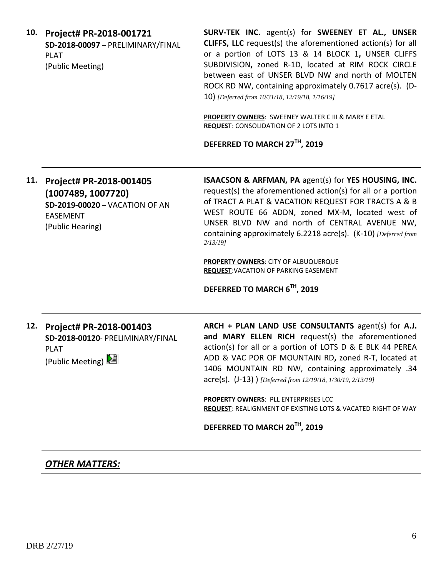| SURV-TEK INC. agent(s) for SWEENEY ET AL., UNSER<br><b>CLIFFS, LLC</b> request(s) the aforementioned action(s) for all<br>or a portion of LOTS 13 & 14 BLOCK 1, UNSER CLIFFS<br>SUBDIVISION, zoned R-1D, located at RIM ROCK CIRCLE<br>between east of UNSER BLVD NW and north of MOLTEN<br>ROCK RD NW, containing approximately 0.7617 acre(s). (D-<br>10) [Deferred from 10/31/18, 12/19/18, 1/16/19]<br>PROPERTY OWNERS: SWEENEY WALTER C III & MARY E ETAL<br><b>REQUEST: CONSOLIDATION OF 2 LOTS INTO 1</b><br>DEFERRED TO MARCH 27TH, 2019 |
|--------------------------------------------------------------------------------------------------------------------------------------------------------------------------------------------------------------------------------------------------------------------------------------------------------------------------------------------------------------------------------------------------------------------------------------------------------------------------------------------------------------------------------------------------|
| <b>ISAACSON &amp; ARFMAN, PA agent(s) for YES HOUSING, INC.</b><br>request(s) the aforementioned action(s) for all or a portion<br>of TRACT A PLAT & VACATION REQUEST FOR TRACTS A & B<br>WEST ROUTE 66 ADDN, zoned MX-M, located west of<br>UNSER BLVD NW and north of CENTRAL AVENUE NW,<br>containing approximately 6.2218 acre(s). (K-10) [Deferred from<br><b>PROPERTY OWNERS: CITY OF ALBUQUERQUE</b><br><b>REQUEST: VACATION OF PARKING EASEMENT</b><br>DEFERRED TO MARCH 6TH, 2019                                                       |
| ARCH + PLAN LAND USE CONSULTANTS agent(s) for A.J.<br>and MARY ELLEN RICH request(s) the aforementioned<br>action(s) for all or a portion of LOTS D & E BLK 44 PEREA<br>ADD & VAC POR OF MOUNTAIN RD, zoned R-T, located at<br>1406 MOUNTAIN RD NW, containing approximately .34<br>$\text{acre(s)}$ . (J-13) ) [Deferred from 12/19/18, 1/30/19, 2/13/19]<br>PROPERTY OWNERS: PLL ENTERPRISES LCC<br>REQUEST: REALIGNMENT OF EXISTING LOTS & VACATED RIGHT OF WAY<br>DEFERRED TO MARCH 20 <sup>TH</sup> , 2019                                  |
|                                                                                                                                                                                                                                                                                                                                                                                                                                                                                                                                                  |

# *OTHER MATTERS:*